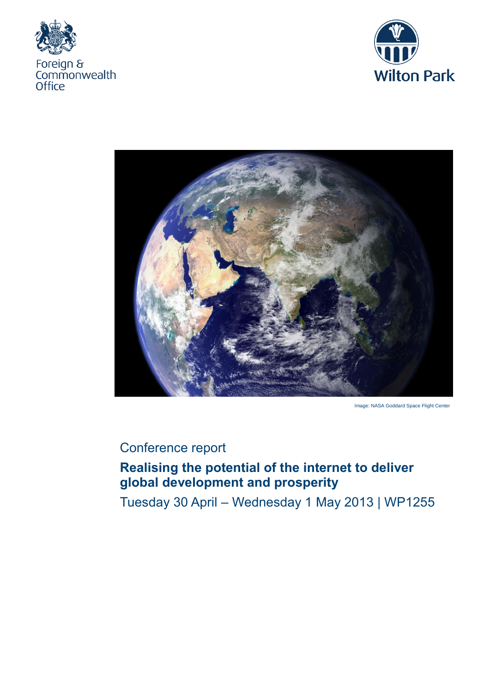





Image: NASA Goddard Space Flight Center

# Conference report

# **Realising the potential of the internet to deliver global development and prosperity**

Tuesday 30 April – Wednesday 1 May 2013 | WP1255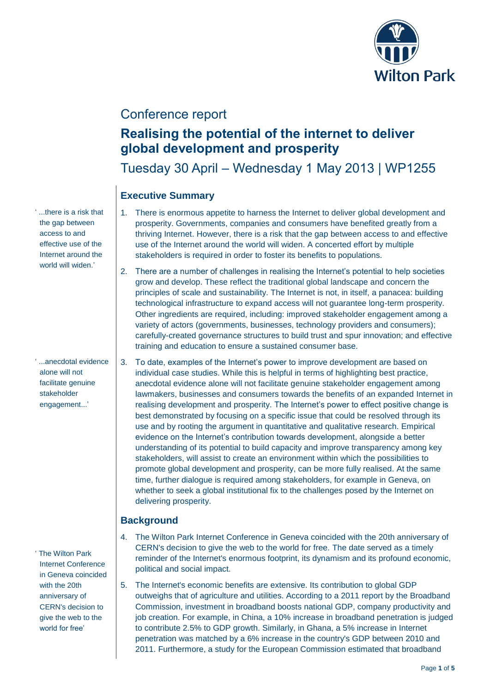

## Conference report

## **Realising the potential of the internet to deliver global development and prosperity**

Tuesday 30 April – Wednesday 1 May 2013 | WP1255

## **Executive Summary**

- 1. There is enormous appetite to harness the Internet to deliver global development and prosperity. Governments, companies and consumers have benefited greatly from a thriving Internet. However, there is a risk that the gap between access to and effective use of the Internet around the world will widen. A concerted effort by multiple stakeholders is required in order to foster its benefits to populations.
- 2. There are a number of challenges in realising the Internet's potential to help societies grow and develop. These reflect the traditional global landscape and concern the principles of scale and sustainability. The Internet is not, in itself, a panacea: building technological infrastructure to expand access will not guarantee long-term prosperity. Other ingredients are required, including: improved stakeholder engagement among a variety of actors (governments, businesses, technology providers and consumers); carefully-created governance structures to build trust and spur innovation; and effective training and education to ensure a sustained consumer base.
- 3. To date, examples of the Internet's power to improve development are based on individual case studies. While this is helpful in terms of highlighting best practice, anecdotal evidence alone will not facilitate genuine stakeholder engagement among lawmakers, businesses and consumers towards the benefits of an expanded Internet in realising development and prosperity. The Internet's power to effect positive change is best demonstrated by focusing on a specific issue that could be resolved through its use and by rooting the argument in quantitative and qualitative research. Empirical evidence on the Internet's contribution towards development, alongside a better understanding of its potential to build capacity and improve transparency among key stakeholders, will assist to create an environment within which the possibilities to promote global development and prosperity, can be more fully realised. At the same time, further dialogue is required among stakeholders, for example in Geneva, on whether to seek a global institutional fix to the challenges posed by the Internet on delivering prosperity.

### **Background**

- 4. The Wilton Park Internet Conference in Geneva coincided with the 20th anniversary of CERN's decision to give the web to the world for free. The date served as a timely reminder of the Internet's enormous footprint, its dynamism and its profound economic, political and social impact.
- 5. The Internet's economic benefits are extensive. Its contribution to global GDP outweighs that of agriculture and utilities. According to a 2011 report by the Broadband Commission, investment in broadband boosts national GDP, company productivity and job creation. For example, in China, a 10% increase in broadband penetration is judged to contribute 2.5% to GDP growth. Similarly, in Ghana, a 5% increase in Internet penetration was matched by a 6% increase in the country's GDP between 2010 and 2011. Furthermore, a study for the European Commission estimated that broadband

' ...there is a risk that the gap between access to and effective use of the Internet around the world will widen.'

' ...anecdotal evidence alone will not facilitate genuine stakeholder engagement...'

' The Wilton Park Internet Conference in Geneva coincided with the 20th anniversary of CERN's decision to give the web to the world for free'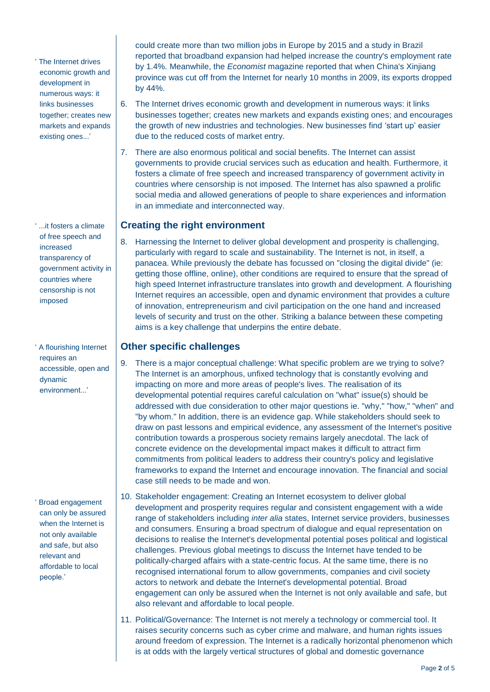' The Internet drives economic growth and development in numerous ways: it links businesses together; creates new markets and expands existing ones...'

' ...it fosters a climate of free speech and increased transparency of government activity in countries where censorship is not imposed

' A flourishing Internet requires an accessible, open and dynamic environment...'

' Broad engagement can only be assured when the Internet is not only available and safe, but also relevant and affordable to local people.'

could create more than two million jobs in Europe by 2015 and a study in Brazil reported that broadband expansion had helped increase the country's employment rate by 1.4%. Meanwhile, the *Economist* magazine reported that when China's Xinjiang province was cut off from the Internet for nearly 10 months in 2009, its exports dropped by 44%.

- 6. The Internet drives economic growth and development in numerous ways: it links businesses together; creates new markets and expands existing ones; and encourages the growth of new industries and technologies. New businesses find 'start up' easier due to the reduced costs of market entry.
- 7. There are also enormous political and social benefits. The Internet can assist governments to provide crucial services such as education and health. Furthermore, it fosters a climate of free speech and increased transparency of government activity in countries where censorship is not imposed. The Internet has also spawned a prolific social media and allowed generations of people to share experiences and information in an immediate and interconnected way.

### **Creating the right environment**

8. Harnessing the Internet to deliver global development and prosperity is challenging, particularly with regard to scale and sustainability. The Internet is not, in itself, a panacea. While previously the debate has focussed on "closing the digital divide" (ie: getting those offline, online), other conditions are required to ensure that the spread of high speed Internet infrastructure translates into growth and development. A flourishing Internet requires an accessible, open and dynamic environment that provides a culture of innovation, entrepreneurism and civil participation on the one hand and increased levels of security and trust on the other. Striking a balance between these competing aims is a key challenge that underpins the entire debate.

#### **Other specific challenges**

- 9. There is a major conceptual challenge: What specific problem are we trying to solve? The Internet is an amorphous, unfixed technology that is constantly evolving and impacting on more and more areas of people's lives. The realisation of its developmental potential requires careful calculation on "what" issue(s) should be addressed with due consideration to other major questions ie. "why," "how," "when" and "by whom." In addition, there is an evidence gap. While stakeholders should seek to draw on past lessons and empirical evidence, any assessment of the Internet's positive contribution towards a prosperous society remains largely anecdotal. The lack of concrete evidence on the developmental impact makes it difficult to attract firm commitments from political leaders to address their country's policy and legislative frameworks to expand the Internet and encourage innovation. The financial and social case still needs to be made and won.
- 10. Stakeholder engagement: Creating an Internet ecosystem to deliver global development and prosperity requires regular and consistent engagement with a wide range of stakeholders including *inter alia* states, Internet service providers, businesses and consumers. Ensuring a broad spectrum of dialogue and equal representation on decisions to realise the Internet's developmental potential poses political and logistical challenges. Previous global meetings to discuss the Internet have tended to be politically-charged affairs with a state-centric focus. At the same time, there is no recognised international forum to allow governments, companies and civil society actors to network and debate the Internet's developmental potential. Broad engagement can only be assured when the Internet is not only available and safe, but also relevant and affordable to local people.
- 11. Political/Governance: The Internet is not merely a technology or commercial tool. It raises security concerns such as cyber crime and malware, and human rights issues around freedom of expression. The Internet is a radically horizontal phenomenon which is at odds with the largely vertical structures of global and domestic governance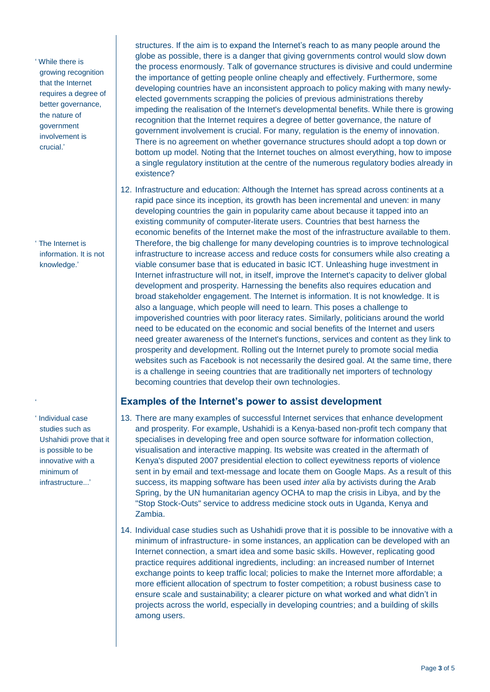' While there is growing recognition that the Internet requires a degree of better governance, the nature of government involvement is crucial.'

' The Internet is information. It is not knowledge.'

' Individual case studies such as Ushahidi prove that it is possible to be innovative with a minimum of infrastructure...'

'

structures. If the aim is to expand the Internet's reach to as many people around the globe as possible, there is a danger that giving governments control would slow down the process enormously. Talk of governance structures is divisive and could undermine the importance of getting people online cheaply and effectively. Furthermore, some developing countries have an inconsistent approach to policy making with many newlyelected governments scrapping the policies of previous administrations thereby impeding the realisation of the Internet's developmental benefits. While there is growing recognition that the Internet requires a degree of better governance, the nature of government involvement is crucial. For many, regulation is the enemy of innovation. There is no agreement on whether governance structures should adopt a top down or bottom up model. Noting that the Internet touches on almost everything, how to impose a single regulatory institution at the centre of the numerous regulatory bodies already in existence?

12. Infrastructure and education: Although the Internet has spread across continents at a rapid pace since its inception, its growth has been incremental and uneven: in many developing countries the gain in popularity came about because it tapped into an existing community of computer-literate users. Countries that best harness the economic benefits of the Internet make the most of the infrastructure available to them. Therefore, the big challenge for many developing countries is to improve technological infrastructure to increase access and reduce costs for consumers while also creating a viable consumer base that is educated in basic ICT. Unleashing huge investment in Internet infrastructure will not, in itself, improve the Internet's capacity to deliver global development and prosperity. Harnessing the benefits also requires education and broad stakeholder engagement. The Internet is information. It is not knowledge. It is also a language, which people will need to learn. This poses a challenge to impoverished countries with poor literacy rates. Similarly, politicians around the world need to be educated on the economic and social benefits of the Internet and users need greater awareness of the Internet's functions, services and content as they link to prosperity and development. Rolling out the Internet purely to promote social media websites such as Facebook is not necessarily the desired goal. At the same time, there is a challenge in seeing countries that are traditionally net importers of technology becoming countries that develop their own technologies.

#### **Examples of the Internet's power to assist development**

- 13. There are many examples of successful Internet services that enhance development and prosperity. For example, Ushahidi is a Kenya-based non-profit tech company that specialises in developing free and open source software for information collection, visualisation and interactive mapping. Its website was created in the aftermath of Kenya's disputed 2007 presidential election to collect eyewitness reports of violence sent in by email and text-message and locate them on Google Maps. As a result of this success, its mapping software has been used *inter alia* by activists during the Arab Spring, by the UN humanitarian agency OCHA to map the crisis in Libya, and by the "Stop Stock-Outs" service to address medicine stock outs in Uganda, Kenya and Zambia.
- 14. Individual case studies such as Ushahidi prove that it is possible to be innovative with a minimum of infrastructure- in some instances, an application can be developed with an Internet connection, a smart idea and some basic skills. However, replicating good practice requires additional ingredients, including: an increased number of Internet exchange points to keep traffic local; policies to make the Internet more affordable; a more efficient allocation of spectrum to foster competition; a robust business case to ensure scale and sustainability; a clearer picture on what worked and what didn't in projects across the world, especially in developing countries; and a building of skills among users.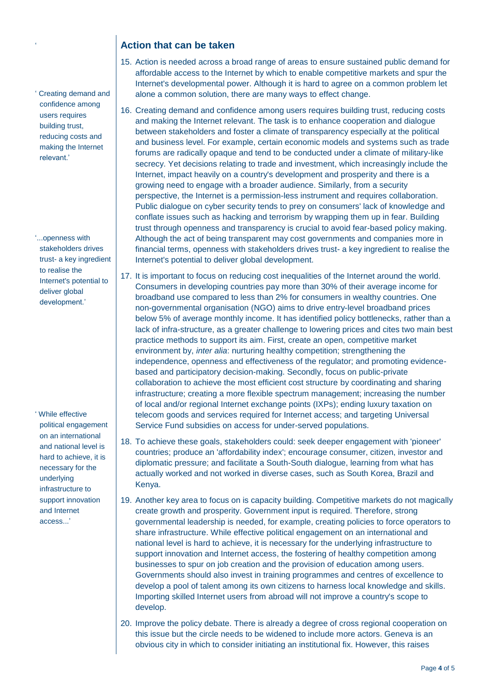#### **Action that can be taken**

' Creating demand and confidence among users requires building trust, reducing costs and making the Internet relevant.'

'

'...openness with stakeholders drives trust- a key ingredient to realise the Internet's potential to deliver global development.'

' While effective political engagement on an international and national level is hard to achieve, it is necessary for the underlying infrastructure to support innovation and Internet access...'

- 15. Action is needed across a broad range of areas to ensure sustained public demand for affordable access to the Internet by which to enable competitive markets and spur the Internet's developmental power. Although it is hard to agree on a common problem let alone a common solution, there are many ways to effect change.
- 16. Creating demand and confidence among users requires building trust, reducing costs and making the Internet relevant. The task is to enhance cooperation and dialogue between stakeholders and foster a climate of transparency especially at the political and business level. For example, certain economic models and systems such as trade forums are radically opaque and tend to be conducted under a climate of military-like secrecy. Yet decisions relating to trade and investment, which increasingly include the Internet, impact heavily on a country's development and prosperity and there is a growing need to engage with a broader audience. Similarly, from a security perspective, the Internet is a permission-less instrument and requires collaboration. Public dialogue on cyber security tends to prey on consumers' lack of knowledge and conflate issues such as hacking and terrorism by wrapping them up in fear. Building trust through openness and transparency is crucial to avoid fear-based policy making. Although the act of being transparent may cost governments and companies more in financial terms, openness with stakeholders drives trust- a key ingredient to realise the Internet's potential to deliver global development.
- 17. It is important to focus on reducing cost inequalities of the Internet around the world. Consumers in developing countries pay more than 30% of their average income for broadband use compared to less than 2% for consumers in wealthy countries. One non-governmental organisation (NGO) aims to drive entry-level broadband prices below 5% of average monthly income. It has identified policy bottlenecks, rather than a lack of infra-structure, as a greater challenge to lowering prices and cites two main best practice methods to support its aim. First, create an open, competitive market environment by, *inter alia*: nurturing healthy competition; strengthening the independence, openness and effectiveness of the regulator; and promoting evidencebased and participatory decision-making. Secondly, focus on public-private collaboration to achieve the most efficient cost structure by coordinating and sharing infrastructure; creating a more flexible spectrum management; increasing the number of local and/or regional Internet exchange points (IXPs); ending luxury taxation on telecom goods and services required for Internet access; and targeting Universal Service Fund subsidies on access for under-served populations.
- 18. To achieve these goals, stakeholders could: seek deeper engagement with 'pioneer' countries; produce an 'affordability index'; encourage consumer, citizen, investor and diplomatic pressure; and facilitate a South-South dialogue, learning from what has actually worked and not worked in diverse cases, such as South Korea, Brazil and Kenya.
- 19. Another key area to focus on is capacity building. Competitive markets do not magically create growth and prosperity. Government input is required. Therefore, strong governmental leadership is needed, for example, creating policies to force operators to share infrastructure. While effective political engagement on an international and national level is hard to achieve, it is necessary for the underlying infrastructure to support innovation and Internet access, the fostering of healthy competition among businesses to spur on job creation and the provision of education among users. Governments should also invest in training programmes and centres of excellence to develop a pool of talent among its own citizens to harness local knowledge and skills. Importing skilled Internet users from abroad will not improve a country's scope to develop.
- 20. Improve the policy debate. There is already a degree of cross regional cooperation on this issue but the circle needs to be widened to include more actors. Geneva is an obvious city in which to consider initiating an institutional fix. However, this raises